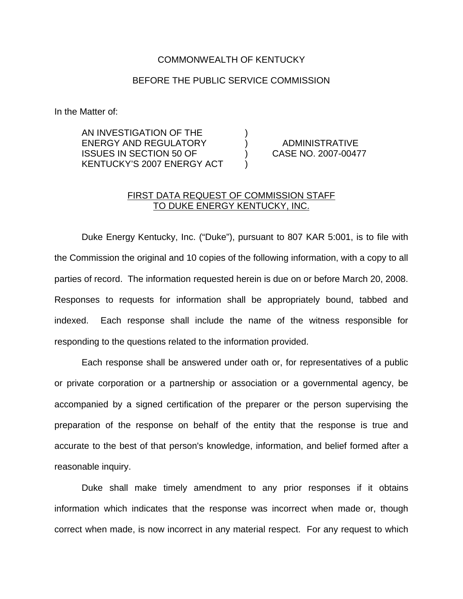## COMMONWEALTH OF KENTUCKY

## BEFORE THE PUBLIC SERVICE COMMISSION

In the Matter of:

AN INVESTIGATION OF THE ) ENERGY AND REGULATORY ) ADMINISTRATIVE ISSUES IN SECTION 50 OF ) CASE NO. 2007-00477 KENTUCKY'S 2007 ENERGY ACT )

## FIRST DATA REQUEST OF COMMISSION STAFF TO DUKE ENERGY KENTUCKY, INC.

Duke Energy Kentucky, Inc. ("Duke"), pursuant to 807 KAR 5:001, is to file with the Commission the original and 10 copies of the following information, with a copy to all parties of record. The information requested herein is due on or before March 20, 2008. Responses to requests for information shall be appropriately bound, tabbed and indexed. Each response shall include the name of the witness responsible for responding to the questions related to the information provided.

Each response shall be answered under oath or, for representatives of a public or private corporation or a partnership or association or a governmental agency, be accompanied by a signed certification of the preparer or the person supervising the preparation of the response on behalf of the entity that the response is true and accurate to the best of that person's knowledge, information, and belief formed after a reasonable inquiry.

Duke shall make timely amendment to any prior responses if it obtains information which indicates that the response was incorrect when made or, though correct when made, is now incorrect in any material respect. For any request to which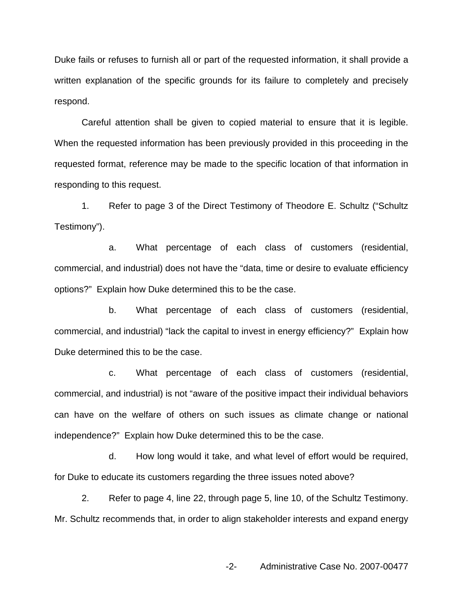Duke fails or refuses to furnish all or part of the requested information, it shall provide a written explanation of the specific grounds for its failure to completely and precisely respond.

Careful attention shall be given to copied material to ensure that it is legible. When the requested information has been previously provided in this proceeding in the requested format, reference may be made to the specific location of that information in responding to this request.

1. Refer to page 3 of the Direct Testimony of Theodore E. Schultz ("Schultz Testimony").

a. What percentage of each class of customers (residential, commercial, and industrial) does not have the "data, time or desire to evaluate efficiency options?" Explain how Duke determined this to be the case.

b. What percentage of each class of customers (residential, commercial, and industrial) "lack the capital to invest in energy efficiency?" Explain how Duke determined this to be the case.

c. What percentage of each class of customers (residential, commercial, and industrial) is not "aware of the positive impact their individual behaviors can have on the welfare of others on such issues as climate change or national independence?" Explain how Duke determined this to be the case.

d. How long would it take, and what level of effort would be required, for Duke to educate its customers regarding the three issues noted above?

2. Refer to page 4, line 22, through page 5, line 10, of the Schultz Testimony. Mr. Schultz recommends that, in order to align stakeholder interests and expand energy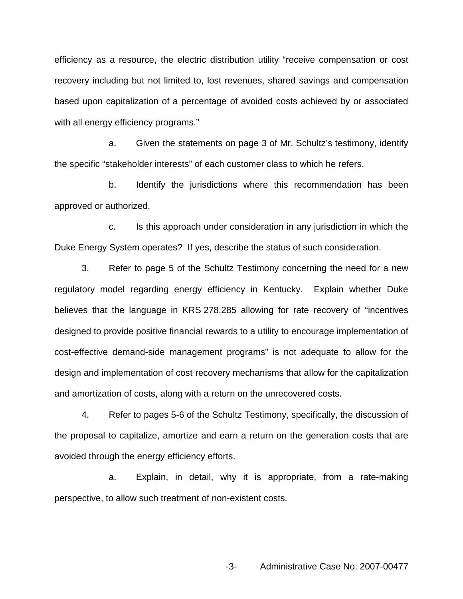efficiency as a resource, the electric distribution utility "receive compensation or cost recovery including but not limited to, lost revenues, shared savings and compensation based upon capitalization of a percentage of avoided costs achieved by or associated with all energy efficiency programs."

a. Given the statements on page 3 of Mr. Schultz's testimony, identify the specific "stakeholder interests" of each customer class to which he refers.

b. Identify the jurisdictions where this recommendation has been approved or authorized.

c. Is this approach under consideration in any jurisdiction in which the Duke Energy System operates? If yes, describe the status of such consideration.

3. Refer to page 5 of the Schultz Testimony concerning the need for a new regulatory model regarding energy efficiency in Kentucky. Explain whether Duke believes that the language in KRS 278.285 allowing for rate recovery of "incentives designed to provide positive financial rewards to a utility to encourage implementation of cost-effective demand-side management programs" is not adequate to allow for the design and implementation of cost recovery mechanisms that allow for the capitalization and amortization of costs, along with a return on the unrecovered costs.

4. Refer to pages 5-6 of the Schultz Testimony, specifically, the discussion of the proposal to capitalize, amortize and earn a return on the generation costs that are avoided through the energy efficiency efforts.

a. Explain, in detail, why it is appropriate, from a rate-making perspective, to allow such treatment of non-existent costs.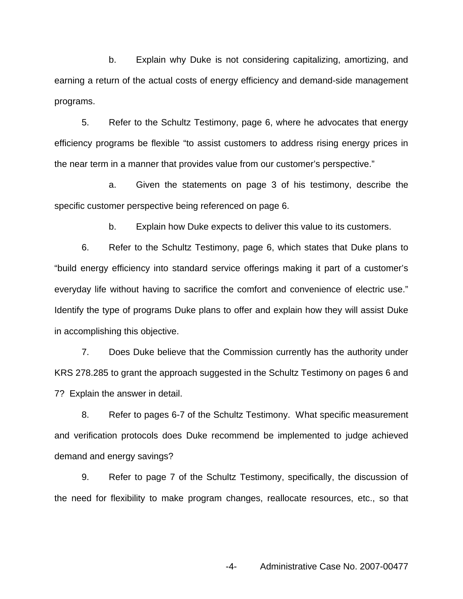b. Explain why Duke is not considering capitalizing, amortizing, and earning a return of the actual costs of energy efficiency and demand-side management programs.

5. Refer to the Schultz Testimony, page 6, where he advocates that energy efficiency programs be flexible "to assist customers to address rising energy prices in the near term in a manner that provides value from our customer's perspective."

a. Given the statements on page 3 of his testimony, describe the specific customer perspective being referenced on page 6.

b. Explain how Duke expects to deliver this value to its customers.

6. Refer to the Schultz Testimony, page 6, which states that Duke plans to "build energy efficiency into standard service offerings making it part of a customer's everyday life without having to sacrifice the comfort and convenience of electric use." Identify the type of programs Duke plans to offer and explain how they will assist Duke in accomplishing this objective.

7. Does Duke believe that the Commission currently has the authority under KRS 278.285 to grant the approach suggested in the Schultz Testimony on pages 6 and 7? Explain the answer in detail.

8. Refer to pages 6-7 of the Schultz Testimony. What specific measurement and verification protocols does Duke recommend be implemented to judge achieved demand and energy savings?

9. Refer to page 7 of the Schultz Testimony, specifically, the discussion of the need for flexibility to make program changes, reallocate resources, etc., so that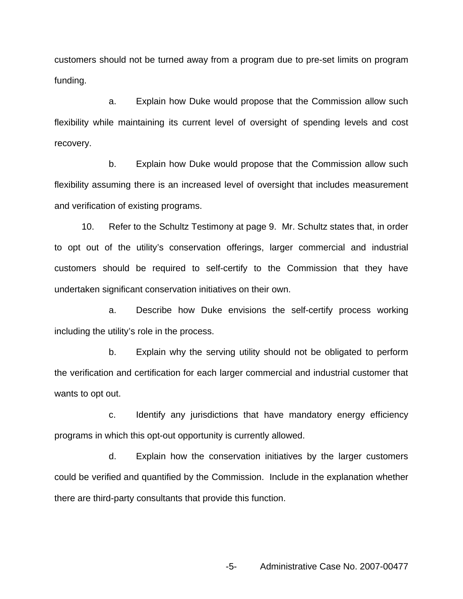customers should not be turned away from a program due to pre-set limits on program funding.

a. Explain how Duke would propose that the Commission allow such flexibility while maintaining its current level of oversight of spending levels and cost recovery.

b. Explain how Duke would propose that the Commission allow such flexibility assuming there is an increased level of oversight that includes measurement and verification of existing programs.

10. Refer to the Schultz Testimony at page 9. Mr. Schultz states that, in order to opt out of the utility's conservation offerings, larger commercial and industrial customers should be required to self-certify to the Commission that they have undertaken significant conservation initiatives on their own.

a. Describe how Duke envisions the self-certify process working including the utility's role in the process.

b. Explain why the serving utility should not be obligated to perform the verification and certification for each larger commercial and industrial customer that wants to opt out.

c. Identify any jurisdictions that have mandatory energy efficiency programs in which this opt-out opportunity is currently allowed.

d. Explain how the conservation initiatives by the larger customers could be verified and quantified by the Commission. Include in the explanation whether there are third-party consultants that provide this function.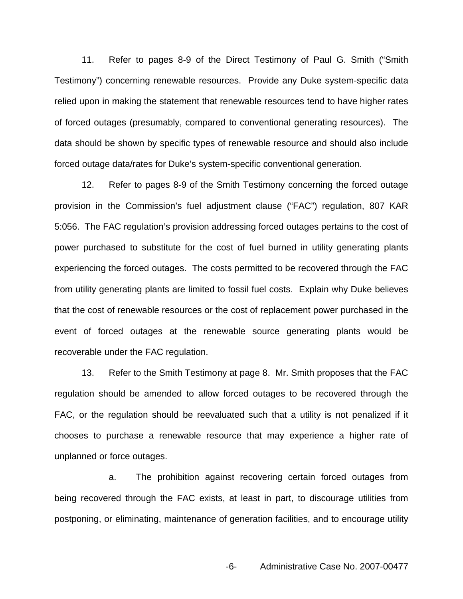11. Refer to pages 8-9 of the Direct Testimony of Paul G. Smith ("Smith Testimony") concerning renewable resources. Provide any Duke system-specific data relied upon in making the statement that renewable resources tend to have higher rates of forced outages (presumably, compared to conventional generating resources). The data should be shown by specific types of renewable resource and should also include forced outage data/rates for Duke's system-specific conventional generation.

12. Refer to pages 8-9 of the Smith Testimony concerning the forced outage provision in the Commission's fuel adjustment clause ("FAC") regulation, 807 KAR 5:056. The FAC regulation's provision addressing forced outages pertains to the cost of power purchased to substitute for the cost of fuel burned in utility generating plants experiencing the forced outages. The costs permitted to be recovered through the FAC from utility generating plants are limited to fossil fuel costs. Explain why Duke believes that the cost of renewable resources or the cost of replacement power purchased in the event of forced outages at the renewable source generating plants would be recoverable under the FAC regulation.

13. Refer to the Smith Testimony at page 8. Mr. Smith proposes that the FAC regulation should be amended to allow forced outages to be recovered through the FAC, or the regulation should be reevaluated such that a utility is not penalized if it chooses to purchase a renewable resource that may experience a higher rate of unplanned or force outages.

a. The prohibition against recovering certain forced outages from being recovered through the FAC exists, at least in part, to discourage utilities from postponing, or eliminating, maintenance of generation facilities, and to encourage utility